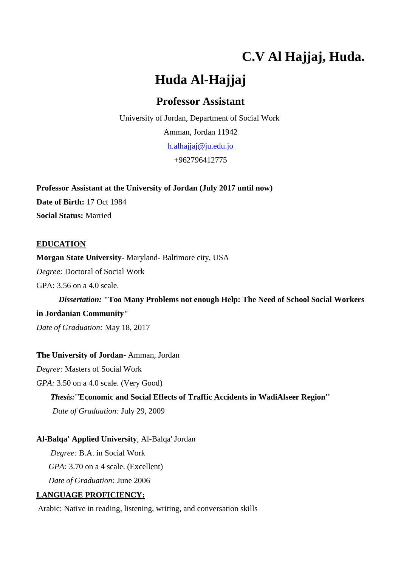# **C.V Al Hajjaj, Huda.**

# **Huda Al-Hajjaj**

# **Professor Assistant**

University of Jordan, Department of Social Work Amman, Jordan 11942 [h.alhajjaj@ju.edu.jo](mailto:h.alhajjaj@ju.edu.jo) +962796412775

**Professor Assistant at the University of Jordan (July 2017 until now) Date of Birth:** 17 Oct 1984 **Social Status:** Married

# **EDUCATION**

**Morgan State University-** Maryland- Baltimore city, USA *Degree:* Doctoral of Social Work GPA: 3.56 on a 4.0 scale.

 *Dissertation:* **"Too Many Problems not enough Help: The Need of School Social Workers in Jordanian Community"**

*Date of Graduation:* May 18, 2017

### **The University of Jordan-** Amman, Jordan

*Degree:* Masters of Social Work

*GPA:* 3.50 on a 4.0 scale. (Very Good)

 *Thesis:***''Economic and Social Effects of Traffic Accidents in WadiAlseer Region''**

 *Date of Graduation:* July 29, 2009

# **Al-Balqa' Applied University**, Al-Balqa' Jordan

 *Degree:* B.A. in Social Work  *GPA:* 3.70 on a 4 scale. (Excellent)

 *Date of Graduation:* June 2006

# **LANGUAGE PROFICIENCY:**

Arabic: Native in reading, listening, writing, and conversation skills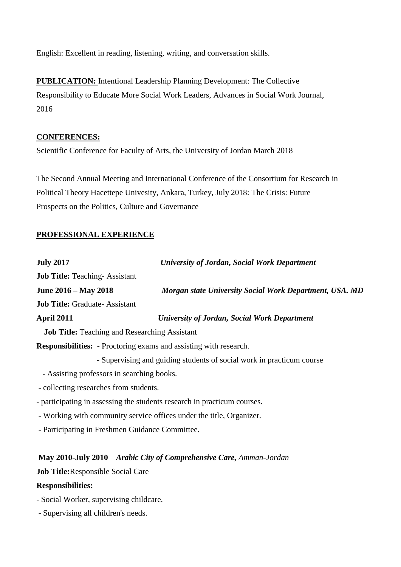English: Excellent in reading, listening, writing, and conversation skills.

**PUBLICATION:** Intentional Leadership Planning Development: The Collective Responsibility to Educate More Social Work Leaders, Advances in Social Work Journal, 2016

# **CONFERENCES:**

Scientific Conference for Faculty of Arts, the University of Jordan March 2018

The Second Annual Meeting and International Conference of the Consortium for Research in Political Theory Hacettepe Univesity, Ankara, Turkey, July 2018: The Crisis: Future Prospects on the Politics, Culture and Governance

# **PROFESSIONAL EXPERIENCE**

| <b>July 2017</b>                                                         | <b>University of Jordan, Social Work Department</b>                   |  |
|--------------------------------------------------------------------------|-----------------------------------------------------------------------|--|
| <b>Job Title: Teaching-Assistant</b>                                     |                                                                       |  |
| June 2016 – May 2018                                                     | Morgan state University Social Work Department, USA. MD               |  |
| <b>Job Title: Graduate-Assistant</b>                                     |                                                                       |  |
| April 2011                                                               | <b>University of Jordan, Social Work Department</b>                   |  |
| <b>Job Title:</b> Teaching and Researching Assistant                     |                                                                       |  |
| <b>Responsibilities:</b> - Proctoring exams and assisting with research. |                                                                       |  |
|                                                                          | - Supervising and guiding students of social work in practicum course |  |
| - Assisting professors in searching books.                               |                                                                       |  |
| - collecting researches from students.                                   |                                                                       |  |
| - participating in assessing the students research in practicum courses. |                                                                       |  |
| - Working with community service offices under the title, Organizer.     |                                                                       |  |
| - Participating in Freshmen Guidance Committee.                          |                                                                       |  |

# **May 2010-July 2010** *Arabic City of Comprehensive Care, Amman-Jordan*

**Job Title:**Responsible Social Care

# **Responsibilities:**

- *-* Social Worker, supervising childcare.
- Supervising all children's needs.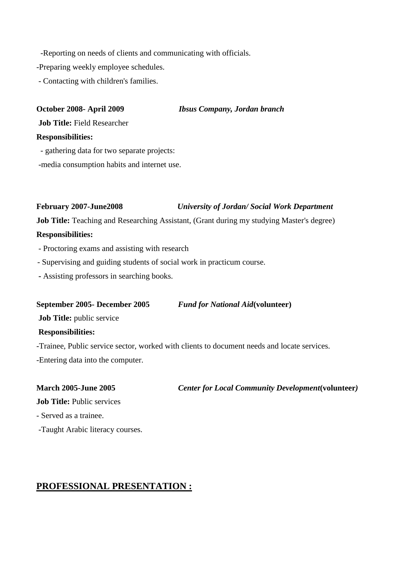-Reporting on needs of clients and communicating with officials.

-Preparing weekly employee schedules.

- Contacting with children's families.

**October 2008- April 2009** *Ibsus Company, Jordan branch*

**Job Title:** Field Researcher

#### **Responsibilities:**

- gathering data for two separate projects:

-media consumption habits and internet use.

### **February 2007-June2008** *University of Jordan/ Social Work Department*

**Job Title:** Teaching and Researching Assistant, (Grant during my studying Master's degree)

#### **Responsibilities:**

- Proctoring exams and assisting with research
- Supervising and guiding students of social work in practicum course.
- **-** Assisting professors in searching books.

#### **September 2005- December 2005** *Fund for National Aid***(volunteer)**

**Job Title:** public service

### **Responsibilities:**

*-*Trainee, Public service sector, worked with clients to document needs and locate services.

-Entering data into the computer.

**March 2005-June 2005** *Center for Local Community Development***(volunteer***)*

**Job Title: Public services** 

- Served as a trainee.

-Taught Arabic literacy courses.

# **PROFESSIONAL PRESENTATION :**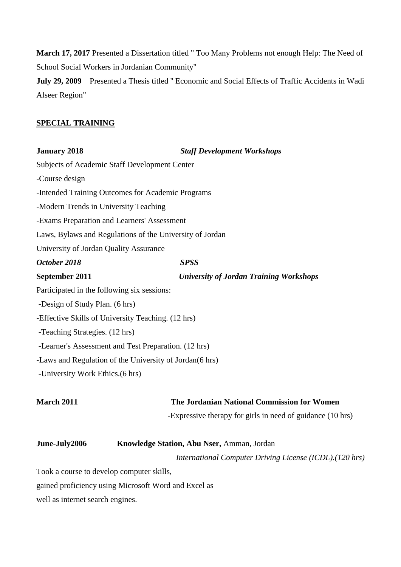**March 17, 2017** Presented a Dissertation titled " Too Many Problems not enough Help: The Need of School Social Workers in Jordanian Community"

**July 29, 2009** Presented a Thesis titled '' Economic and Social Effects of Traffic Accidents in Wadi Alseer Region"

### **SPECIAL TRAINING**

| <b>January 2018</b>                                      | <b>Staff Development Workshops</b>             |
|----------------------------------------------------------|------------------------------------------------|
| <b>Subjects of Academic Staff Development Center</b>     |                                                |
| -Course design                                           |                                                |
| -Intended Training Outcomes for Academic Programs        |                                                |
| -Modern Trends in University Teaching                    |                                                |
| -Exams Preparation and Learners' Assessment              |                                                |
| Laws, Bylaws and Regulations of the University of Jordan |                                                |
| University of Jordan Quality Assurance                   |                                                |
| October 2018                                             | <b>SPSS</b>                                    |
| September 2011                                           | <b>University of Jordan Training Workshops</b> |
| Participated in the following six sessions:              |                                                |
| -Design of Study Plan. (6 hrs)                           |                                                |
| -Effective Skills of University Teaching. (12 hrs)       |                                                |
| -Teaching Strategies. (12 hrs)                           |                                                |
| -Learner's Assessment and Test Preparation. (12 hrs)     |                                                |
| -Laws and Regulation of the University of Jordan(6 hrs)  |                                                |
| -University Work Ethics. (6 hrs)                         |                                                |
| <b>March 2011</b>                                        | The Jordanian National Commission for Women    |

-Expressive therapy for girls in need of guidance (10 hrs)

| June-July2006 | <b>Knowledge Station, Abu Nser, Amman, Jordan</b>        |
|---------------|----------------------------------------------------------|
|               | International Computer Driving License (ICDL). (120 hrs) |

Took a course to develop computer skills,

gained proficiency using Microsoft Word and Excel as

well as internet search engines.